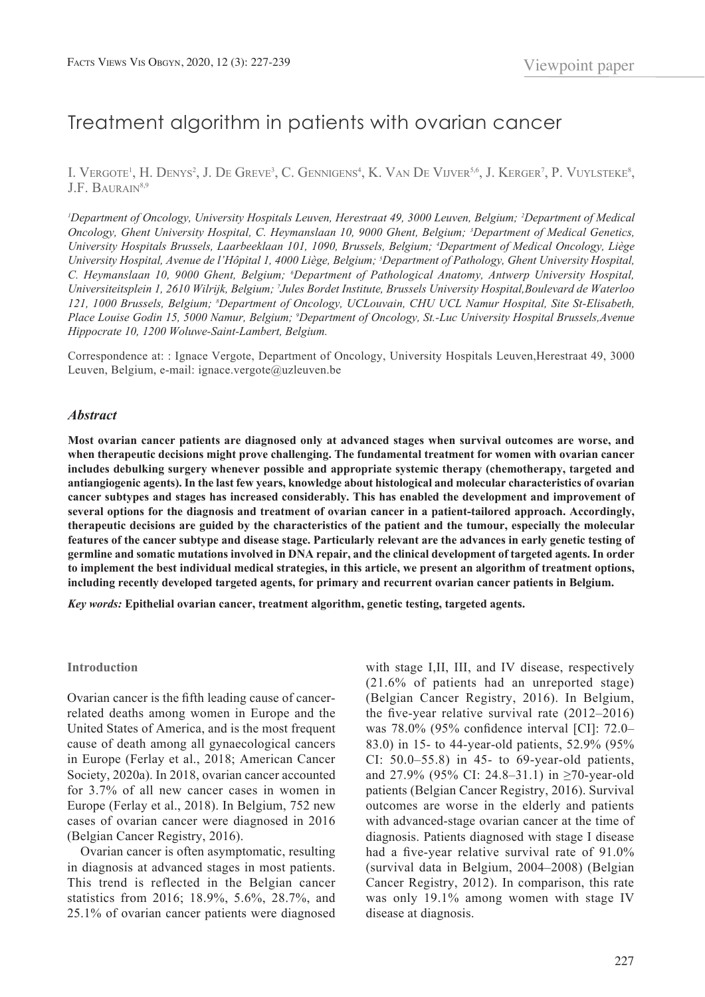# Treatment algorithm in patients with ovarian cancer

I. VERGOTE<sup>1</sup>, H. DENYS<sup>2</sup>, J. DE GREVE<sup>3</sup>, C. GENNIGENS<sup>4</sup>, K. VAN DE VIJVER<sup>5,6</sup>, J. KERGER<sup>7</sup>, P. VUYLSTEKE<sup>8</sup>, J.F. BAURAIN<sup>8,9</sup>

*1 Department of Oncology, University Hospitals Leuven, Herestraat 49, 3000 Leuven, Belgium; 2 Department of Medical Oncology, Ghent University Hospital, C. Heymanslaan 10, 9000 Ghent, Belgium; 3 Department of Medical Genetics, University Hospitals Brussels, Laarbeeklaan 101, 1090, Brussels, Belgium; 4 Department of Medical Oncology, Liège University Hospital, Avenue de l'Hôpital 1, 4000 Liège, Belgium; 5 Department of Pathology, Ghent University Hospital, C. Heymanslaan 10, 9000 Ghent, Belgium; 6 Department of Pathological Anatomy, Antwerp University Hospital, Universiteitsplein 1, 2610 Wilrijk, Belgium; 7 Jules Bordet Institute, Brussels University Hospital,Boulevard de Waterloo 121, 1000 Brussels, Belgium; 8 Department of Oncology, UCLouvain, CHU UCL Namur Hospital, Site St-Elisabeth, Place Louise Godin 15, 5000 Namur, Belgium; 9 Department of Oncology, St.-Luc University Hospital Brussels,Avenue Hippocrate 10, 1200 Woluwe-Saint-Lambert, Belgium.*

Correspondence at: : Ignace Vergote, Department of Oncology, University Hospitals Leuven,Herestraat 49, 3000 Leuven, Belgium, e-mail: ignace.vergote@uzleuven.be

#### *Abstract*

**Most ovarian cancer patients are diagnosed only at advanced stages when survival outcomes are worse, and when therapeutic decisions might prove challenging. The fundamental treatment for women with ovarian cancer includes debulking surgery whenever possible and appropriate systemic therapy (chemotherapy, targeted and antiangiogenic agents). In the last few years, knowledge about histological and molecular characteristics of ovarian cancer subtypes and stages has increased considerably. This has enabled the development and improvement of several options for the diagnosis and treatment of ovarian cancer in a patient-tailored approach. Accordingly, therapeutic decisions are guided by the characteristics of the patient and the tumour, especially the molecular features of the cancer subtype and disease stage. Particularly relevant are the advances in early genetic testing of germline and somatic mutations involved in DNA repair, and the clinical development of targeted agents. In order to implement the best individual medical strategies, in this article, we present an algorithm of treatment options, including recently developed targeted agents, for primary and recurrent ovarian cancer patients in Belgium.**

*Key words:* **Epithelial ovarian cancer, treatment algorithm, genetic testing, targeted agents.**

#### **Introduction**

Ovarian cancer is the fifth leading cause of cancerrelated deaths among women in Europe and the United States of America, and is the most frequent cause of death among all gynaecological cancers in Europe (Ferlay et al., 2018; American Cancer Society, 2020a). In 2018, ovarian cancer accounted for 3.7% of all new cancer cases in women in Europe (Ferlay et al., 2018). In Belgium, 752 new cases of ovarian cancer were diagnosed in 2016 (Belgian Cancer Registry, 2016).

Ovarian cancer is often asymptomatic, resulting in diagnosis at advanced stages in most patients. This trend is reflected in the Belgian cancer statistics from 2016; 18.9%, 5.6%, 28.7%, and 25.1% of ovarian cancer patients were diagnosed

with stage I,II, III, and IV disease, respectively (21.6% of patients had an unreported stage) (Belgian Cancer Registry, 2016). In Belgium, the five-year relative survival rate  $(2012-2016)$ was 78.0% (95% confidence interval [CI]: 72.0– 83.0) in 15- to 44-year-old patients, 52.9% (95% CI:  $50.0-55.8$ ) in 45- to 69-year-old patients, and 27.9% (95% CI: 24.8–31.1) in ≥70-year-old patients (Belgian Cancer Registry, 2016). Survival outcomes are worse in the elderly and patients with advanced-stage ovarian cancer at the time of diagnosis. Patients diagnosed with stage I disease had a five-year relative survival rate of 91.0% (survival data in Belgium, 2004–2008) (Belgian Cancer Registry, 2012). In comparison, this rate was only 19.1% among women with stage IV disease at diagnosis.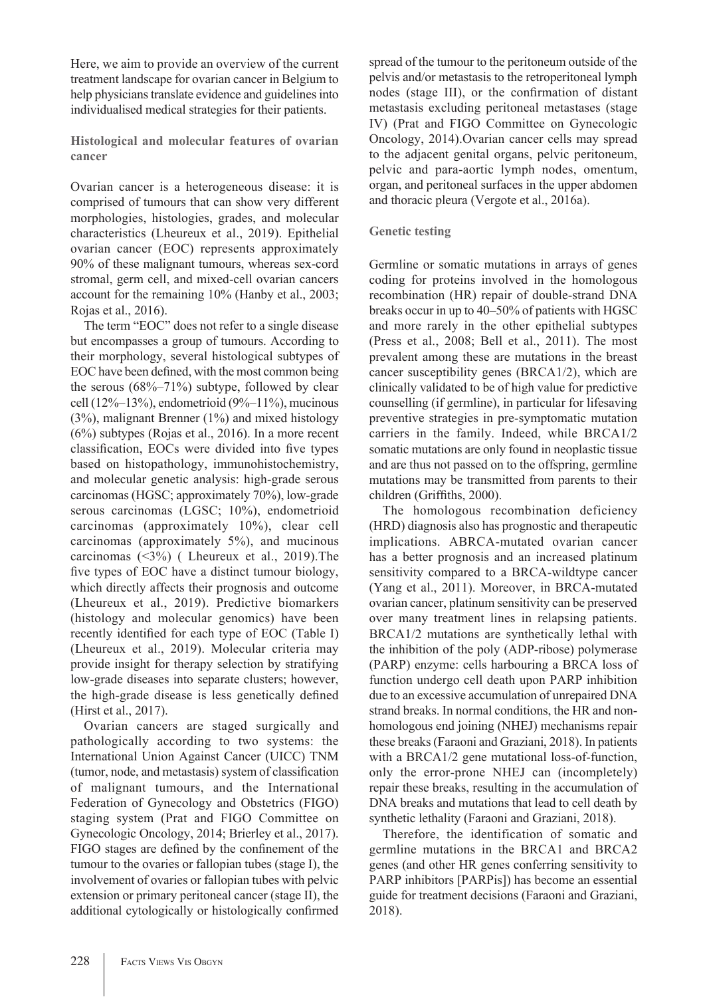Here, we aim to provide an overview of the current treatment landscape for ovarian cancer in Belgium to help physicians translate evidence and guidelines into individualised medical strategies for their patients.

**Histological and molecular features of ovarian cancer** 

Ovarian cancer is a heterogeneous disease: it is comprised of tumours that can show very different morphologies, histologies, grades, and molecular characteristics (Lheureux et al., 2019). Epithelial ovarian cancer (EOC) represents approximately 90% of these malignant tumours, whereas sex-cord stromal, germ cell, and mixed-cell ovarian cancers account for the remaining 10% (Hanby et al., 2003; Rojas et al., 2016).

The term "EOC" does not refer to a single disease but encompasses a group of tumours. According to their morphology, several histological subtypes of EOC have been defined, with the most common being the serous  $(68\% - 71\%)$  subtype, followed by clear cell (12%–13%), endometrioid (9%–11%), mucinous (3%), malignant Brenner (1%) and mixed histology (6%) subtypes (Rojas et al., 2016). In a more recent classification, EOCs were divided into five types based on histopathology, immunohistochemistry, and molecular genetic analysis: high-grade serous carcinomas (HGSC; approximately 70%), low-grade serous carcinomas (LGSC; 10%), endometrioid carcinomas (approximately 10%), clear cell carcinomas (approximately 5%), and mucinous carcinomas (<3%) ( Lheureux et al., 2019).The five types of EOC have a distinct tumour biology, which directly affects their prognosis and outcome (Lheureux et al., 2019). Predictive biomarkers (histology and molecular genomics) have been recently identified for each type of EOC (Table I) (Lheureux et al., 2019). Molecular criteria may provide insight for therapy selection by stratifying low-grade diseases into separate clusters; however, the high-grade disease is less genetically defined (Hirst et al., 2017).

Ovarian cancers are staged surgically and pathologically according to two systems: the International Union Against Cancer (UICC) TNM (tumor, node, and metastasis) system of classification of malignant tumours, and the International Federation of Gynecology and Obstetrics (FIGO) staging system (Prat and FIGO Committee on Gynecologic Oncology, 2014; Brierley et al., 2017). FIGO stages are defined by the confinement of the tumour to the ovaries or fallopian tubes (stage I), the involvement of ovaries or fallopian tubes with pelvic extension or primary peritoneal cancer (stage II), the additional cytologically or histologically confirmed spread of the tumour to the peritoneum outside of the pelvis and/or metastasis to the retroperitoneal lymph nodes (stage III), or the confirmation of distant metastasis excluding peritoneal metastases (stage IV) (Prat and FIGO Committee on Gynecologic Oncology, 2014).Ovarian cancer cells may spread to the adjacent genital organs, pelvic peritoneum, pelvic and para-aortic lymph nodes, omentum, organ, and peritoneal surfaces in the upper abdomen and thoracic pleura (Vergote et al., 2016a).

#### **Genetic testing**

Germline or somatic mutations in arrays of genes coding for proteins involved in the homologous recombination (HR) repair of double-strand DNA breaks occur in up to 40–50% of patients with HGSC and more rarely in the other epithelial subtypes (Press et al., 2008; Bell et al., 2011). The most prevalent among these are mutations in the breast cancer susceptibility genes (BRCA1/2), which are clinically validated to be of high value for predictive counselling (if germline), in particular for lifesaving preventive strategies in pre-symptomatic mutation carriers in the family. Indeed, while BRCA1/2 somatic mutations are only found in neoplastic tissue and are thus not passed on to the offspring, germline mutations may be transmitted from parents to their children (Griffiths, 2000).

The homologous recombination deficiency (HRD) diagnosis also has prognostic and therapeutic implications. ABRCA-mutated ovarian cancer has a better prognosis and an increased platinum sensitivity compared to a BRCA-wildtype cancer (Yang et al., 2011). Moreover, in BRCA-mutated ovarian cancer, platinum sensitivity can be preserved over many treatment lines in relapsing patients. BRCA1/2 mutations are synthetically lethal with the inhibition of the poly (ADP-ribose) polymerase (PARP) enzyme: cells harbouring a BRCA loss of function undergo cell death upon PARP inhibition due to an excessive accumulation of unrepaired DNA strand breaks. In normal conditions, the HR and nonhomologous end joining (NHEJ) mechanisms repair these breaks (Faraoni and Graziani, 2018). In patients with a BRCA1/2 gene mutational loss-of-function, only the error-prone NHEJ can (incompletely) repair these breaks, resulting in the accumulation of DNA breaks and mutations that lead to cell death by synthetic lethality (Faraoni and Graziani, 2018).

Therefore, the identification of somatic and germline mutations in the BRCA1 and BRCA2 genes (and other HR genes conferring sensitivity to PARP inhibitors [PARPis]) has become an essential guide for treatment decisions (Faraoni and Graziani, 2018).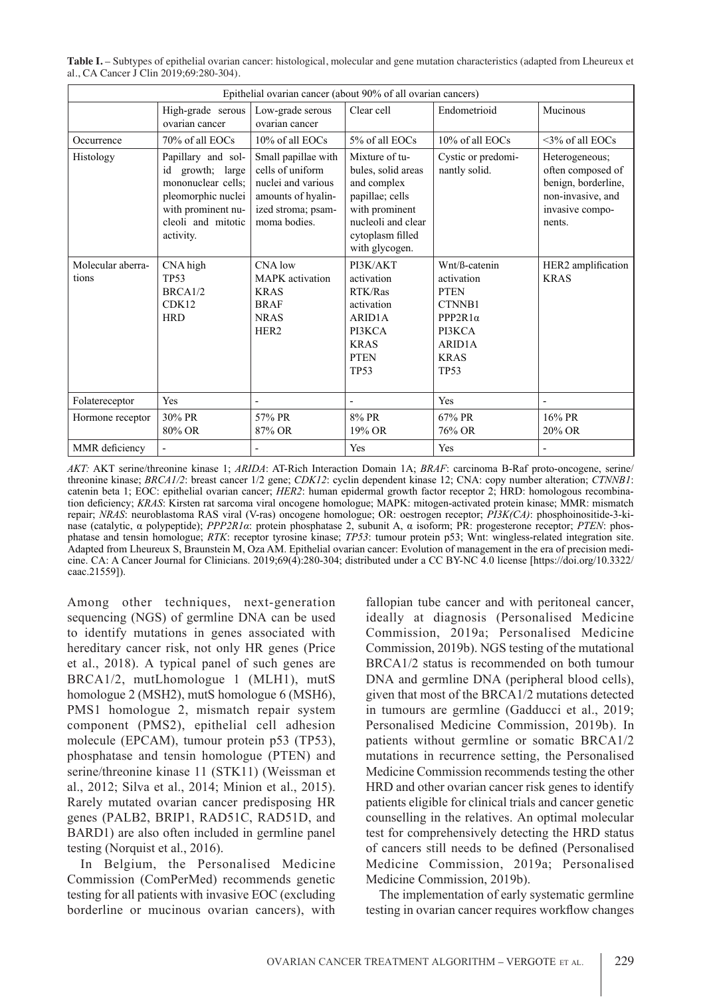**Table I.** – Subtypes of epithelial ovarian cancer: histological, molecular and gene mutation characteristics (adapted from Lheureux et al., CA Cancer J Clin 2019;69:280-304).

| Epithelial ovarian cancer (about 90% of all ovarian cancers) |                                                                                                                                             |                                                                                                                           |                                                                                                                                                      |                                                                                                                           |                                                                                                              |  |  |  |
|--------------------------------------------------------------|---------------------------------------------------------------------------------------------------------------------------------------------|---------------------------------------------------------------------------------------------------------------------------|------------------------------------------------------------------------------------------------------------------------------------------------------|---------------------------------------------------------------------------------------------------------------------------|--------------------------------------------------------------------------------------------------------------|--|--|--|
|                                                              | High-grade serous<br>ovarian cancer                                                                                                         | Low-grade serous<br>ovarian cancer                                                                                        | Clear cell                                                                                                                                           | Endometrioid                                                                                                              | Mucinous                                                                                                     |  |  |  |
| Occurrence                                                   | 70% of all EOCs                                                                                                                             | 10% of all EOCs                                                                                                           | 5% of all EOCs                                                                                                                                       | 10% of all EOCs                                                                                                           | $\leq$ 3% of all EOCs                                                                                        |  |  |  |
| Histology                                                    | Papillary and sol-<br>id growth; large<br>mononuclear cells;<br>pleomorphic nuclei<br>with prominent nu-<br>cleoli and mitotic<br>activity. | Small papillae with<br>cells of uniform<br>nuclei and various<br>amounts of hyalin-<br>ized stroma; psam-<br>moma bodies. | Mixture of tu-<br>bules, solid areas<br>and complex<br>papillae; cells<br>with prominent<br>nucleoli and clear<br>cytoplasm filled<br>with glycogen. | Cystic or predomi-<br>nantly solid.                                                                                       | Heterogeneous;<br>often composed of<br>benign, borderline,<br>non-invasive, and<br>invasive compo-<br>nents. |  |  |  |
| Molecular aberra-<br>tions                                   | CNA high<br><b>TP53</b><br>BRCA1/2<br>CDK12<br><b>HRD</b>                                                                                   | CNA low<br><b>MAPK</b> activation<br><b>KRAS</b><br><b>BRAF</b><br><b>NRAS</b><br>HER <sub>2</sub>                        | PI3K/AKT<br>activation<br>RTK/Ras<br>activation<br>ARID1A<br>PI3KCA<br><b>KRAS</b><br><b>PTEN</b><br><b>TP53</b>                                     | Wnt/ß-catenin<br>activation<br><b>PTEN</b><br>CTNNB1<br>PPP2R1 $\alpha$<br>PI3KCA<br>ARID1A<br><b>KRAS</b><br><b>TP53</b> | HER2 amplification<br><b>KRAS</b>                                                                            |  |  |  |
| Folatereceptor                                               | Yes                                                                                                                                         | $\overline{\phantom{0}}$                                                                                                  | $\overline{\phantom{a}}$                                                                                                                             | Yes                                                                                                                       |                                                                                                              |  |  |  |
| Hormone receptor                                             | $30\%$ PR<br>80% OR                                                                                                                         | 57% PR<br>87% OR                                                                                                          | 8% PR<br>19% OR                                                                                                                                      | $67\%$ PR<br>76% OR                                                                                                       | $16\%$ PR<br>20% OR                                                                                          |  |  |  |
| MMR deficiency                                               |                                                                                                                                             |                                                                                                                           | Yes                                                                                                                                                  | Yes                                                                                                                       |                                                                                                              |  |  |  |

*AKT:* AKT serine/threonine kinase 1; *ARIDA*: AT-Rich Interaction Domain 1A; *BRAF*: carcinoma B-Raf proto-oncogene, serine/ threonine kinase; *BRCA1/2*: breast cancer 1/2 gene; *CDK12*: cyclin dependent kinase 12; CNA: copy number alteration; *CTNNB1*: catenin beta 1; EOC: epithelial ovarian cancer; *HER2*: human epidermal growth factor receptor 2; HRD: homologous recombination deficiency; *KRAS*: Kirsten rat sarcoma viral oncogene homologue; MAPK: mitogen-activated protein kinase; MMR: mismatch repair; *NRAS*: neuroblastoma RAS viral (V-ras) oncogene homologue; OR: oestrogen receptor; *PI3K(CA)*: phosphoinositide-3-kinase (catalytic, α polypeptide); *PPP2R1α*: protein phosphatase 2, subunit A, α isoform; PR: progesterone receptor; *PTEN*: phosphatase and tensin homologue; *RTK*: receptor tyrosine kinase; *TP53*: tumour protein p53; Wnt: wingless-related integration site. Adapted from Lheureux S, Braunstein M, Oza AM. Epithelial ovarian cancer: Evolution of management in the era of precision medicine. CA: A Cancer Journal for Clinicians. 2019;69(4):280-304; distributed under a CC BY-NC 4.0 license [https://doi.org/10.3322/ caac.21559]).

Among other techniques, next-generation sequencing (NGS) of germline DNA can be used to identify mutations in genes associated with hereditary cancer risk, not only HR genes (Price et al., 2018). A typical panel of such genes are BRCA1/2, mutLhomologue 1 (MLH1), mutS homologue 2 (MSH2), mutS homologue 6 (MSH6), PMS1 homologue 2, mismatch repair system component (PMS2), epithelial cell adhesion molecule (EPCAM), tumour protein p53 (TP53), phosphatase and tensin homologue (PTEN) and serine/threonine kinase 11 (STK11) (Weissman et al., 2012; Silva et al., 2014; Minion et al., 2015). Rarely mutated ovarian cancer predisposing HR genes (PALB2, BRIP1, RAD51C, RAD51D, and BARD1) are also often included in germline panel testing (Norquist et al., 2016).

In Belgium, the Personalised Medicine Commission (ComPerMed) recommends genetic testing for all patients with invasive EOC (excluding borderline or mucinous ovarian cancers), with fallopian tube cancer and with peritoneal cancer, ideally at diagnosis (Personalised Medicine Commission, 2019a; Personalised Medicine Commission, 2019b). NGS testing of the mutational BRCA1/2 status is recommended on both tumour DNA and germline DNA (peripheral blood cells), given that most of the BRCA1/2 mutations detected in tumours are germline (Gadducci et al., 2019; Personalised Medicine Commission, 2019b). In patients without germline or somatic BRCA1/2 mutations in recurrence setting, the Personalised Medicine Commission recommends testing the other HRD and other ovarian cancer risk genes to identify patients eligible for clinical trials and cancer genetic counselling in the relatives. An optimal molecular test for comprehensively detecting the HRD status of cancers still needs to be defined (Personalised Medicine Commission, 2019a; Personalised Medicine Commission, 2019b).

The implementation of early systematic germline testing in ovarian cancer requires workflow changes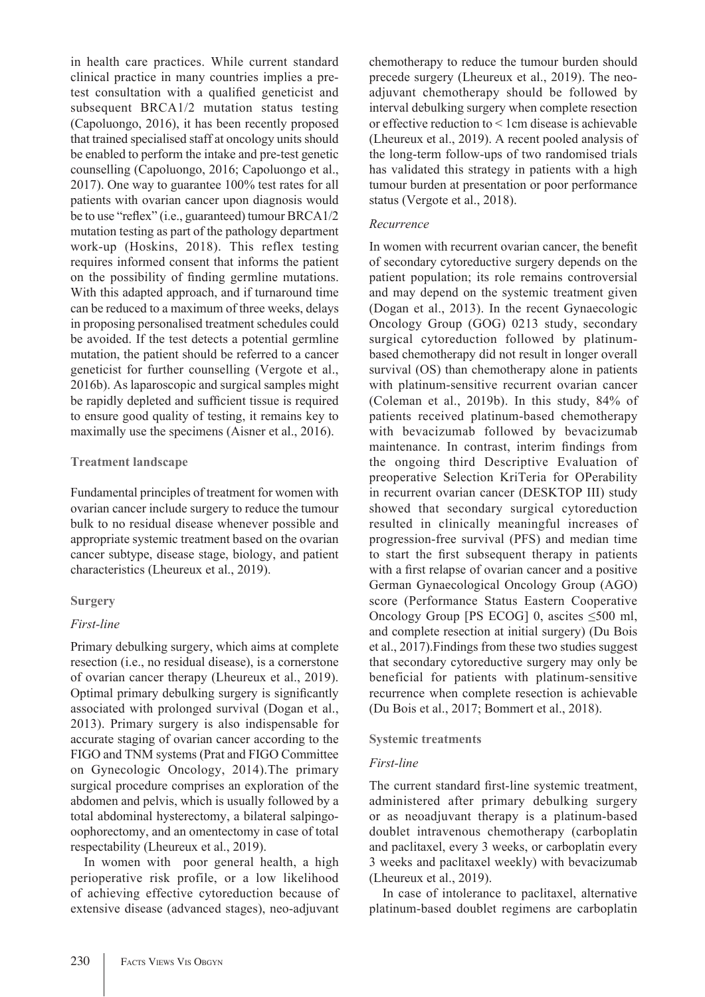in health care practices. While current standard clinical practice in many countries implies a pretest consultation with a qualified geneticist and subsequent BRCA1/2 mutation status testing (Capoluongo, 2016), it has been recently proposed that trained specialised staff at oncology units should be enabled to perform the intake and pre-test genetic counselling (Capoluongo, 2016; Capoluongo et al., 2017). One way to guarantee 100% test rates for all patients with ovarian cancer upon diagnosis would be to use "reflex" (i.e., guaranteed) tumour BRCA1/2 mutation testing as part of the pathology department work-up (Hoskins, 2018). This reflex testing requires informed consent that informs the patient on the possibility of finding germline mutations. With this adapted approach, and if turnaround time can be reduced to a maximum of three weeks, delays in proposing personalised treatment schedules could be avoided. If the test detects a potential germline mutation, the patient should be referred to a cancer geneticist for further counselling (Vergote et al., 2016b). As laparoscopic and surgical samples might be rapidly depleted and sufficient tissue is required to ensure good quality of testing, it remains key to maximally use the specimens (Aisner et al., 2016).

## **Treatment landscape**

Fundamental principles of treatment for women with ovarian cancer include surgery to reduce the tumour bulk to no residual disease whenever possible and appropriate systemic treatment based on the ovarian cancer subtype, disease stage, biology, and patient characteristics (Lheureux et al., 2019).

# **Surgery**

# *First-line*

Primary debulking surgery, which aims at complete resection (i.e., no residual disease), is a cornerstone of ovarian cancer therapy (Lheureux et al., 2019). Optimal primary debulking surgery is significantly associated with prolonged survival (Dogan et al., 2013). Primary surgery is also indispensable for accurate staging of ovarian cancer according to the FIGO and TNM systems (Prat and FIGO Committee on Gynecologic Oncology, 2014).The primary surgical procedure comprises an exploration of the abdomen and pelvis, which is usually followed by a total abdominal hysterectomy, a bilateral salpingooophorectomy, and an omentectomy in case of total respectability (Lheureux et al., 2019).

In women with poor general health, a high perioperative risk profile, or a low likelihood of achieving effective cytoreduction because of extensive disease (advanced stages), neo-adjuvant chemotherapy to reduce the tumour burden should precede surgery (Lheureux et al., 2019). The neoadjuvant chemotherapy should be followed by interval debulking surgery when complete resection or effective reduction to < 1cm disease is achievable (Lheureux et al., 2019). A recent pooled analysis of the long-term follow-ups of two randomised trials has validated this strategy in patients with a high tumour burden at presentation or poor performance status (Vergote et al., 2018).

## *Recurrence*

In women with recurrent ovarian cancer, the benefit of secondary cytoreductive surgery depends on the patient population; its role remains controversial and may depend on the systemic treatment given (Dogan et al., 2013). In the recent Gynaecologic Oncology Group (GOG) 0213 study, secondary surgical cytoreduction followed by platinumbased chemotherapy did not result in longer overall survival (OS) than chemotherapy alone in patients with platinum-sensitive recurrent ovarian cancer (Coleman et al., 2019b). In this study, 84% of patients received platinum-based chemotherapy with bevacizumab followed by bevacizumab maintenance. In contrast, interim findings from the ongoing third Descriptive Evaluation of preoperative Selection KriTeria for OPerability in recurrent ovarian cancer (DESKTOP III) study showed that secondary surgical cytoreduction resulted in clinically meaningful increases of progression-free survival (PFS) and median time to start the first subsequent therapy in patients with a first relapse of ovarian cancer and a positive German Gynaecological Oncology Group (AGO) score (Performance Status Eastern Cooperative Oncology Group [PS ECOG] 0, ascites  $\leq 500$  ml, and complete resection at initial surgery) (Du Bois et al., 2017).Findings from these two studies suggest that secondary cytoreductive surgery may only be beneficial for patients with platinum-sensitive recurrence when complete resection is achievable (Du Bois et al., 2017; Bommert et al., 2018).

#### **Systemic treatments**

# *First-line*

The current standard first-line systemic treatment, administered after primary debulking surgery or as neoadjuvant therapy is a platinum-based doublet intravenous chemotherapy (carboplatin and paclitaxel, every 3 weeks, or carboplatin every 3 weeks and paclitaxel weekly) with bevacizumab (Lheureux et al., 2019).

In case of intolerance to paclitaxel, alternative platinum-based doublet regimens are carboplatin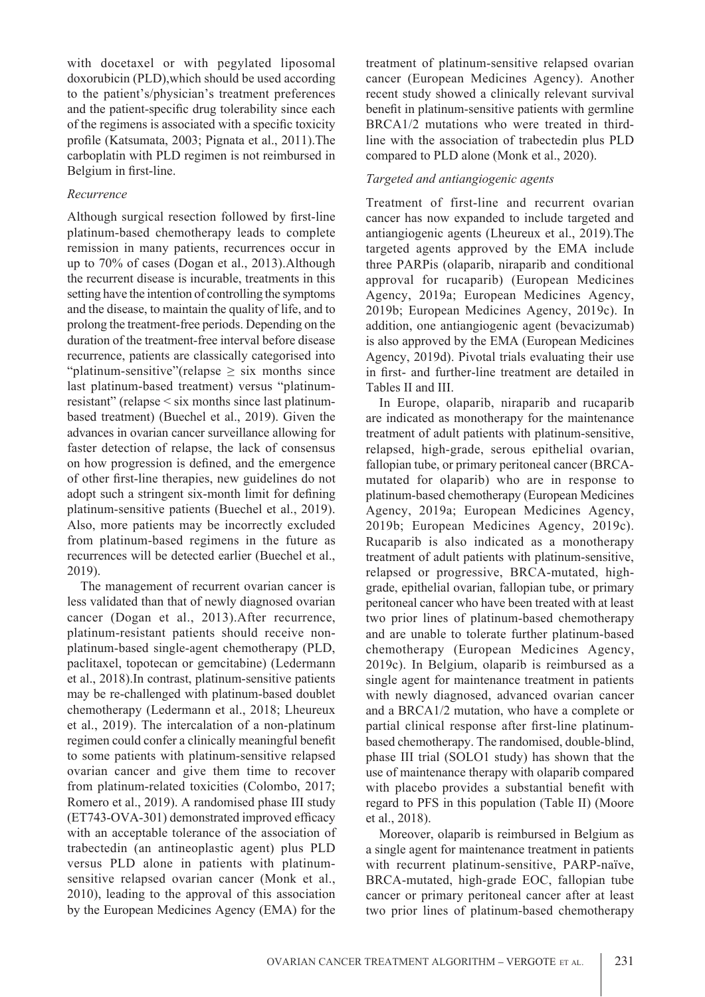with docetaxel or with pegylated liposomal doxorubicin (PLD),which should be used according to the patient's/physician's treatment preferences and the patient-specific drug tolerability since each of the regimens is associated with a specific toxicity profile (Katsumata, 2003; Pignata et al., 2011).The carboplatin with PLD regimen is not reimbursed in Belgium in first-line.

#### *Recurrence*

Although surgical resection followed by first-line platinum-based chemotherapy leads to complete remission in many patients, recurrences occur in up to 70% of cases (Dogan et al., 2013).Although the recurrent disease is incurable, treatments in this setting have the intention of controlling the symptoms and the disease, to maintain the quality of life, and to prolong the treatment-free periods. Depending on the duration of the treatment-free interval before disease recurrence, patients are classically categorised into "platinum-sensitive"(relapse  $\geq$  six months since last platinum-based treatment) versus "platinumresistant" (relapse < six months since last platinumbased treatment) (Buechel et al., 2019). Given the advances in ovarian cancer surveillance allowing for faster detection of relapse, the lack of consensus on how progression is defined, and the emergence of other first-line therapies, new guidelines do not adopt such a stringent six-month limit for defining platinum-sensitive patients (Buechel et al., 2019). Also, more patients may be incorrectly excluded from platinum-based regimens in the future as recurrences will be detected earlier (Buechel et al., 2019).

The management of recurrent ovarian cancer is less validated than that of newly diagnosed ovarian cancer (Dogan et al., 2013).After recurrence, platinum-resistant patients should receive nonplatinum-based single-agent chemotherapy (PLD, paclitaxel, topotecan or gemcitabine) (Ledermann et al., 2018).In contrast, platinum-sensitive patients may be re-challenged with platinum-based doublet chemotherapy (Ledermann et al., 2018; Lheureux et al., 2019). The intercalation of a non-platinum regimen could confer a clinically meaningful benefit to some patients with platinum-sensitive relapsed ovarian cancer and give them time to recover from platinum-related toxicities (Colombo, 2017; Romero et al., 2019). A randomised phase III study (ET743-OVA-301) demonstrated improved efficacy with an acceptable tolerance of the association of trabectedin (an antineoplastic agent) plus PLD versus PLD alone in patients with platinumsensitive relapsed ovarian cancer (Monk et al., 2010), leading to the approval of this association by the European Medicines Agency (EMA) for the

treatment of platinum-sensitive relapsed ovarian cancer (European Medicines Agency). Another recent study showed a clinically relevant survival benefit in platinum-sensitive patients with germline BRCA1/2 mutations who were treated in thirdline with the association of trabectedin plus PLD compared to PLD alone (Monk et al., 2020).

## *Targeted and antiangiogenic agents*

Treatment of first-line and recurrent ovarian cancer has now expanded to include targeted and antiangiogenic agents (Lheureux et al., 2019).The targeted agents approved by the EMA include three PARPis (olaparib, niraparib and conditional approval for rucaparib) (European Medicines Agency, 2019a; European Medicines Agency, 2019b; European Medicines Agency, 2019c). In addition, one antiangiogenic agent (bevacizumab) is also approved by the EMA (European Medicines Agency, 2019d). Pivotal trials evaluating their use in first- and further-line treatment are detailed in Tables II and III.

In Europe, olaparib, niraparib and rucaparib are indicated as monotherapy for the maintenance treatment of adult patients with platinum-sensitive, relapsed, high-grade, serous epithelial ovarian, fallopian tube, or primary peritoneal cancer (BRCAmutated for olaparib) who are in response to platinum-based chemotherapy (European Medicines Agency, 2019a; European Medicines Agency, 2019b; European Medicines Agency, 2019c). Rucaparib is also indicated as a monotherapy treatment of adult patients with platinum-sensitive, relapsed or progressive, BRCA-mutated, highgrade, epithelial ovarian, fallopian tube, or primary peritoneal cancer who have been treated with at least two prior lines of platinum-based chemotherapy and are unable to tolerate further platinum-based chemotherapy (European Medicines Agency, 2019c). In Belgium, olaparib is reimbursed as a single agent for maintenance treatment in patients with newly diagnosed, advanced ovarian cancer and a BRCA1/2 mutation, who have a complete or partial clinical response after first-line platinumbased chemotherapy. The randomised, double-blind, phase III trial (SOLO1 study) has shown that the use of maintenance therapy with olaparib compared with placebo provides a substantial benefit with regard to PFS in this population (Table II) (Moore et al., 2018).

Moreover, olaparib is reimbursed in Belgium as a single agent for maintenance treatment in patients with recurrent platinum-sensitive, PARP-naïve, BRCA-mutated, high-grade EOC, fallopian tube cancer or primary peritoneal cancer after at least two prior lines of platinum-based chemotherapy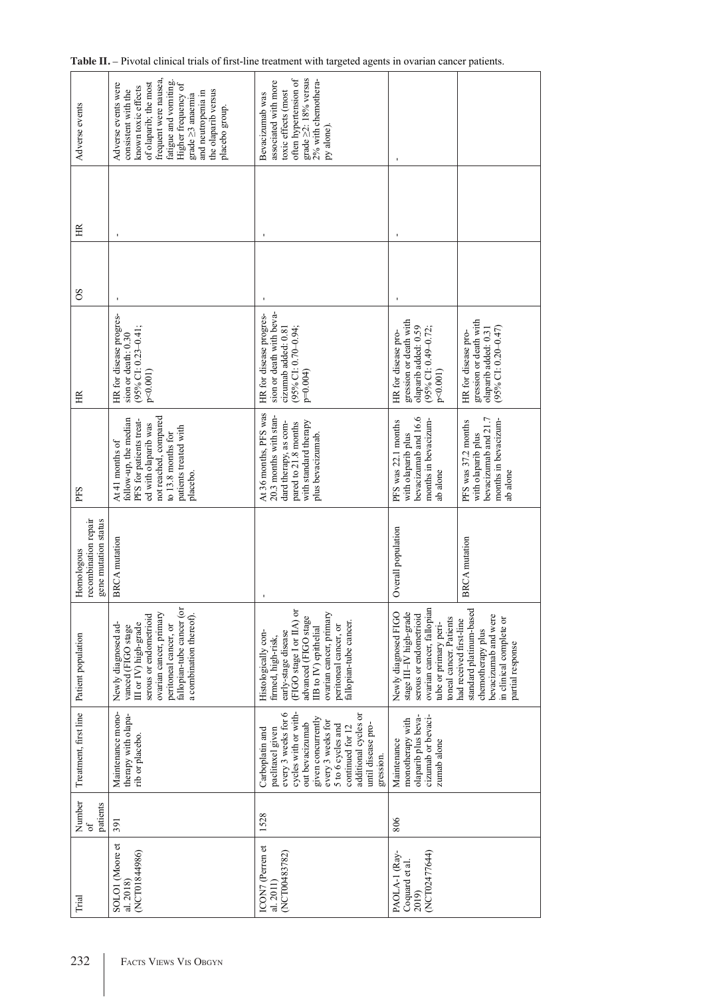| Adverse events                                             | frequent were nausea,<br>fatigue and vomiting<br>of olaparib; the most<br>Adverse events were<br>Higher frequency of<br>known toxic effects<br>consistent with the<br>the olaparib versus<br>and neutropenia in<br>grade ≥3 anaemia<br>placebo group. | often hypertension of<br>grade $\geq$ 2: 18% versus<br>2% with chemothera-<br>associated with more<br>toxic effects (most<br>Bevacizumab was<br>py alone)                                                                                            |                                                                                                                                                            |                                                                                                                                                |
|------------------------------------------------------------|-------------------------------------------------------------------------------------------------------------------------------------------------------------------------------------------------------------------------------------------------------|------------------------------------------------------------------------------------------------------------------------------------------------------------------------------------------------------------------------------------------------------|------------------------------------------------------------------------------------------------------------------------------------------------------------|------------------------------------------------------------------------------------------------------------------------------------------------|
| HR                                                         |                                                                                                                                                                                                                                                       |                                                                                                                                                                                                                                                      |                                                                                                                                                            |                                                                                                                                                |
| 8O                                                         |                                                                                                                                                                                                                                                       |                                                                                                                                                                                                                                                      |                                                                                                                                                            |                                                                                                                                                |
| H                                                          | HR for disease progres-<br>$(95\%$ CI: 0.23-0.41;<br>sion or death: 0.30<br>$p<0.001$ )                                                                                                                                                               | sion or death with beva-<br>HR for disease progres-<br>cizumab added: 0.81<br>(95% CI: 0.70-0.94;<br>$p=0.004$                                                                                                                                       | gression or death with<br>olaparib added: 0.59<br>(95% CI: 0.49-0.72;<br>HR for disease pro-<br>p<0.001                                                    | gression or death with<br>olaparib added: 0.31<br>$(95\%$ CI: 0.20-0.47)<br>HR for disease pro-                                                |
| PFS                                                        | not reached, compared<br>follow-up, the median<br>PFS for patients treat-<br>ed with olaparib was<br>patients treated with<br>to 13.8 months for<br>At 41 months of<br>placebo.                                                                       | At 36 months, PFS was<br>20.3 months with stan-<br>dard therapy, as com-<br>with standard therapy<br>pared to 21.8 months<br>plus bevacizumab.                                                                                                       | bevacizumab and 16.6<br>months in bevacizum-<br>PFS was 22.1 months<br>with olaparib plus<br>ab alone                                                      | bevacizumab and 21.7<br>months in bevacizum-<br>PFS was 37.2 months<br>with olaparib plus<br>ab alone                                          |
| recombination repair<br>gene mutation status<br>Homologous | <b>BRCA</b> mutation                                                                                                                                                                                                                                  |                                                                                                                                                                                                                                                      | Overall population                                                                                                                                         | <b>BRCA</b> mutation                                                                                                                           |
| Patient population                                         | fallopian-tube cancer (or<br>ovarian cancer, primary<br>a combination thereof).<br>serous or endometrioid<br>III or IV) high-grade<br>Newly diagnosed ad-<br>peritoneal cancer, or<br>vanced (FIGO stage                                              | (FIGO stage I or IIA) or<br>ovarian cancer, primary<br>advanced (FIGO stage<br>fallopian-tube cancer.<br>peritoneal cancer, or<br>IIB to IV) epithelial<br>early-stage disease<br>Histologically con-<br>firmed, high-risk,                          | ovarian cancer, fallopian<br>stage III-IV high-grade<br>Newly diagnosed FIGO<br>serous or endometrioid<br>toneal cancer. Patients<br>tube or primary peri- | standard platinum-based<br>bevacizumab and were<br>in clinical complete or<br>had received first-line<br>chemotherapy plus<br>partial response |
| Treatment, first line                                      | Maintenance mono-<br>therapy with olapa-<br>rib or placebo.                                                                                                                                                                                           | cycles with or with-<br>every 3 weeks for 6<br>additional cycles or<br>given concurrently<br>every 3 weeks for<br>until disease pro-<br>out bevacizumab<br>5 to 6 cycles and<br>continued for 12<br>paclitaxel given<br>Carboplatin and<br>gression. | olaparib plus beva-<br>cizumab or bevaci-<br>monotherapy with<br>Maintenance<br>zumab alone                                                                |                                                                                                                                                |
| Number<br>patients<br>of                                   | 391                                                                                                                                                                                                                                                   | 1528                                                                                                                                                                                                                                                 | 806                                                                                                                                                        |                                                                                                                                                |
| Trial                                                      | SOLOI (Moore et<br>(NCT01844986)<br>al. 2018)                                                                                                                                                                                                         | ICON7 (Perren et<br>(NCT00483782)<br>al. 2011)                                                                                                                                                                                                       | (NCT02477644)<br>PAOLA-1 (Ray-<br>Coquard et al.<br>2019)                                                                                                  |                                                                                                                                                |

| Table II. – Pivotal clinical trials of first-line treatment with targeted agents in ovarian cancer patients. |  |  |  |  |  |
|--------------------------------------------------------------------------------------------------------------|--|--|--|--|--|
|                                                                                                              |  |  |  |  |  |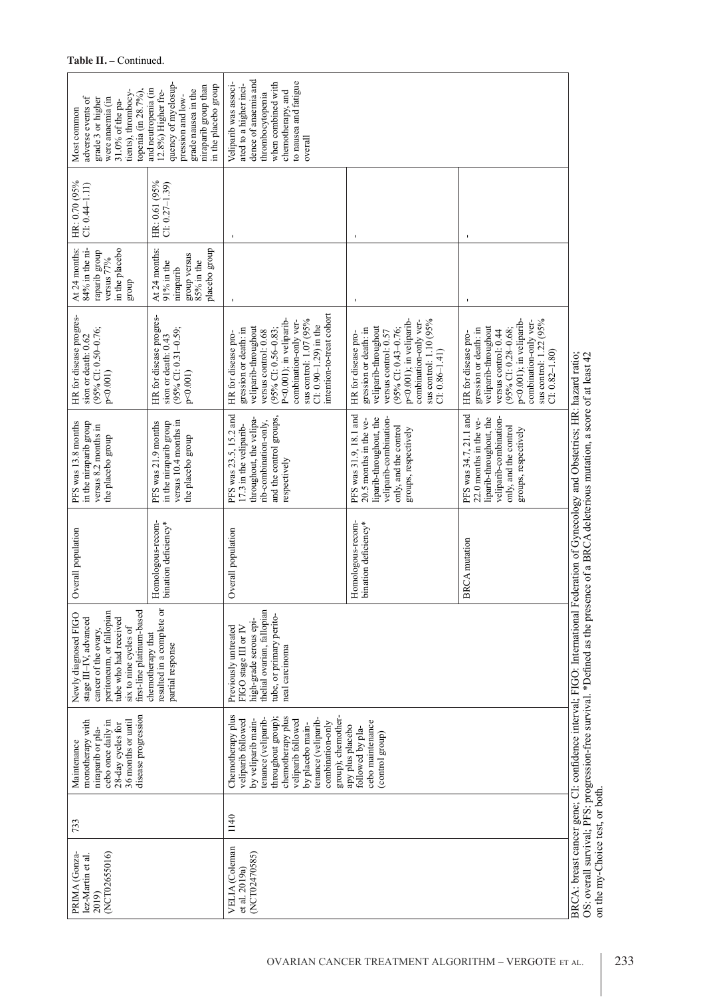| tients), thrombocy-<br>topenia (in 28.7%).<br>adverse events of<br>were anaemia (in<br>grade 3 or higher<br>31.0% of the pa-<br>Most common                                                                                                                                                                                                                                                                                                                               | quency of myelosup-<br>in the placebo group<br>niraparib group than<br>and neutropenia (in<br>grade nausea in the<br>12.8%) Higher fre-<br>pression and low- | dence of anaemia and<br>to nausea and fatigue<br>when combined with<br>Veliparib was associ-<br>ated to a higher inci-<br>chemotherapy, and<br>thrombocytopenia<br>overall                                                                                    |                                                                                                                                                                                                                           |                                                                                                                                                                                                                           |                                                                                                                                                                                                    |  |
|---------------------------------------------------------------------------------------------------------------------------------------------------------------------------------------------------------------------------------------------------------------------------------------------------------------------------------------------------------------------------------------------------------------------------------------------------------------------------|--------------------------------------------------------------------------------------------------------------------------------------------------------------|---------------------------------------------------------------------------------------------------------------------------------------------------------------------------------------------------------------------------------------------------------------|---------------------------------------------------------------------------------------------------------------------------------------------------------------------------------------------------------------------------|---------------------------------------------------------------------------------------------------------------------------------------------------------------------------------------------------------------------------|----------------------------------------------------------------------------------------------------------------------------------------------------------------------------------------------------|--|
| HR: 0.70 (95%<br>$CI: 0.44 - 1.11$                                                                                                                                                                                                                                                                                                                                                                                                                                        | HR: 0.61 (95%<br>$Cl: 0.27 - 1.39$                                                                                                                           |                                                                                                                                                                                                                                                               |                                                                                                                                                                                                                           |                                                                                                                                                                                                                           |                                                                                                                                                                                                    |  |
| in the placebo<br>At 24 months:<br>84% in the ni-<br>raparib group<br>versus 77%<br>group                                                                                                                                                                                                                                                                                                                                                                                 | placebo group<br>At 24 months:<br>group versus<br>$85\%$ in the<br>$91\%$ in the<br>niraparib                                                                |                                                                                                                                                                                                                                                               | $\mathbf{I}$                                                                                                                                                                                                              | $\blacksquare$                                                                                                                                                                                                            |                                                                                                                                                                                                    |  |
| HR for disease progres-<br>$(95\%$ CI: 0.50-0.76;<br>sion or death: 0.62<br>$p<0.001$ )                                                                                                                                                                                                                                                                                                                                                                                   | HR for disease progres-<br>$(95\%$ CI: 0.31-0.59;<br>sion or death: 0.43<br>$p<0.001$ )                                                                      | intention-to-treat cohort<br>sus control: 1.07 (95%<br>P<0.001); in veliparib-<br>combination-only ver-<br>$Cl: 0.90 - 1.29$ in the<br>veliparib-throughout<br>$(95\%$ CI: 0.56-0.83;<br>gression or death: in<br>versus control: 0.68<br>HR for disease pro- | sus control: 1.10 (95%<br>p<0.001); in veliparib-<br>combination-only ver-<br>veliparib-throughout<br>$(95\%$ CI: 0.43-0.76;<br>gression or death: in<br>versus control: 0.57<br>HR for disease pro-<br>$Cl: 0.86 - 1.41$ | sus control: 1.22 (95%<br>p<0.001); in veliparib-<br>combination-only ver-<br>veliparib-throughout<br>gression or death: in<br>$(95\%$ CI: 0.28-0.68;<br>versus control: 0.44<br>HR for disease pro-<br>$CI: 0.82 - 1.80$ |                                                                                                                                                                                                    |  |
| in the niraparib group<br>PFS was 13.8 months<br>versus 8.2 months in<br>the placebo group                                                                                                                                                                                                                                                                                                                                                                                | versus 10.4 months in<br>in the niraparib group<br>PFS was 21.9 months<br>the placebo group                                                                  | PFS was 23.5, 15.2 and<br>and the control groups,<br>throughout, the velipa-<br>rib-combination-only,<br>17.3 in the veliparib-<br>respectively                                                                                                               | PFS was 31.9, 18.1 and<br>liparib-throughout, the<br>veliparib-combination-<br>20.5 months in the ve-<br>only, and the control<br>groups, respectively                                                                    | PFS was 34.7, 21.1 and<br>liparib-throughout, the<br>veliparib-combination-<br>22.0 months in the ve-<br>only, and the control<br>groups, respectively                                                                    | ederation of Gynecology and Obstetrics; HR: hazard ratio;<br>OS: overall survival; PFS: progression-free survival. *Defined as the presence of a BRCA deleterious mutation, a score of at least 42 |  |
| Overall population                                                                                                                                                                                                                                                                                                                                                                                                                                                        | Homologous-recom-<br>bination deficiency*                                                                                                                    | Overall population                                                                                                                                                                                                                                            | Homologous-recom-<br>bination deficiency*                                                                                                                                                                                 | <b>BRCA</b> mutation                                                                                                                                                                                                      | BRCA: breast cancer gene; CI: confidence interval; FIGO: International F                                                                                                                           |  |
| resulted in a complete or<br>first-line platinum-based<br>peritoneum, or fallopian<br>Newly diagnosed FIGO<br>stage III-IV, advanced<br>tube who had received<br>six to nine cycles of<br>cancer of the ovary.<br>chemotherapy that<br>partial response                                                                                                                                                                                                                   |                                                                                                                                                              | thelial ovarian, fallopian<br>tube, or primary perito-<br>high-grade serous epi-<br>FIGO stage III or IV<br>Previously untreated<br>neal carcinoma                                                                                                            |                                                                                                                                                                                                                           |                                                                                                                                                                                                                           |                                                                                                                                                                                                    |  |
| disease progression<br>Chemotherapy plus<br>chemotherapy plus<br>throughout group);<br>tenance (veliparib-<br>group); chemother-<br>tenance (veliparib-<br>cebo once daily in<br>veliparib followed<br>by veliparib main-<br>veliparib followed<br>monotherapy with<br>36 months or until<br>cebo maintenance<br>combination-only<br>28-day cycles for<br>by placebo main-<br>apy plus placebo<br>followed by pla-<br>niraparib or pla-<br>(control group)<br>Maintenance |                                                                                                                                                              |                                                                                                                                                                                                                                                               |                                                                                                                                                                                                                           |                                                                                                                                                                                                                           |                                                                                                                                                                                                    |  |
| 733                                                                                                                                                                                                                                                                                                                                                                                                                                                                       | 1140                                                                                                                                                         |                                                                                                                                                                                                                                                               |                                                                                                                                                                                                                           |                                                                                                                                                                                                                           |                                                                                                                                                                                                    |  |
| (NCT02655016)<br>PRIMA (Gonza-<br>lez-Martin et al.<br>2019)                                                                                                                                                                                                                                                                                                                                                                                                              |                                                                                                                                                              | VELIA (Coleman<br>(NCT02470585)<br>et al. 2019a)                                                                                                                                                                                                              |                                                                                                                                                                                                                           |                                                                                                                                                                                                                           |                                                                                                                                                                                                    |  |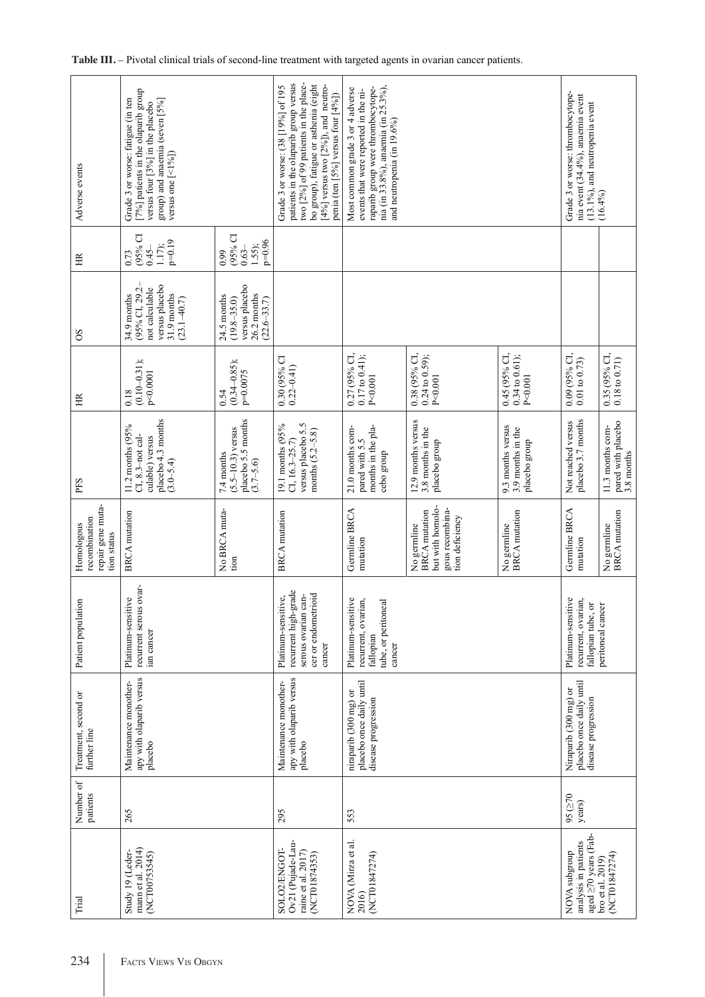| Adverse events                                                  | [7%] patients in the olaparib group<br>Grade 3 or worse: fatigue (in ten<br>group) and anaemia (seven [5%]<br>versus four [3%] in the placebo<br>versus one $[$ <1%]) |                                                                                    | patients in the olaparib group versus<br>two [2%] of 99 patients in the place-<br>bo group), fatigue or asthenia (eight<br>$[4\%]$ versus two $[2\%]$ ), and neutro-<br>Grade 3 or worse: (38 [19%] of 195<br>penia (ten [5%] versus four $[4\%]$ ) | nia (in 33.8%), anaemia (in 25.3%),<br>raparib group were thrombocytope-<br>Most common grade 3 or 4 adverse<br>events that were reported in the ni-<br>and neutropenia (in 19.6%) |                                                                                               |                                                         | Grade 3 or worse: thrombocytope-<br>nia event (34.4%), anaemia event<br>(13.1%), and neutropenia event   | (16.4%)                                              |
|-----------------------------------------------------------------|-----------------------------------------------------------------------------------------------------------------------------------------------------------------------|------------------------------------------------------------------------------------|-----------------------------------------------------------------------------------------------------------------------------------------------------------------------------------------------------------------------------------------------------|------------------------------------------------------------------------------------------------------------------------------------------------------------------------------------|-----------------------------------------------------------------------------------------------|---------------------------------------------------------|----------------------------------------------------------------------------------------------------------|------------------------------------------------------|
| 臣                                                               | (95% CI<br>$p=0.19$<br>$0.45 -$<br>1.17<br>0.73                                                                                                                       | $(95%$ CI<br>$p=0.96$<br>$0.63 -$<br>1.55);<br>0.99                                |                                                                                                                                                                                                                                                     |                                                                                                                                                                                    |                                                                                               |                                                         |                                                                                                          |                                                      |
| 8O                                                              | versus placebo<br>(95% CI, 29.2-<br>not calculable<br>31.9 months<br>34.9 months<br>$(23.1 - 40.7)$                                                                   | versus placebo<br>26.2 months<br>24.5 months<br>$(19.8 - 35.0)$<br>$(22.6 - 33.7)$ |                                                                                                                                                                                                                                                     |                                                                                                                                                                                    |                                                                                               |                                                         |                                                                                                          |                                                      |
| Ξ                                                               | $(0.10 - 0.31);$<br>p<0.0001<br>0.18                                                                                                                                  | $(0.34 - 0.85);$<br>p=0.0075<br>0.54                                               | 0.30 (95% CI<br>$0.22 - 0.41$                                                                                                                                                                                                                       | 0.27 (95% CI,<br>$0.17$ to $0.41$ );<br>P < 0.001                                                                                                                                  | 0.38 (95% CI,<br>$0.24$ to $0.59$ ;<br>P<0.001                                                | 0.45 (95% CI,<br>$0.34$ to $0.61$ );<br>P < 0.001       | 0.09 (95% CI,<br>$0.01$ to $0.73$ )                                                                      | $0.35$ (95% CI, $0.18$ to $0.71)$                    |
| PFS                                                             | placebo 4.3 months<br>11.2 months (95%<br>CI, 8.3-not cal-<br>culable) versus<br>$(3.0 - 5.4)$                                                                        | placebo 5.5 months<br>$(5.5 - 10.3)$ versus<br>7.4 months<br>$(3.7 - 5.6)$         | versus placebo 5.5<br>19.1 months (95%<br>months $(5.2 - 5.8)$<br>CI, $16.3 - 25.7$                                                                                                                                                                 | months in the pla-<br>21.0 months com-<br>pared with 5.5<br>cebo group                                                                                                             | 12.9 months versus<br>3.8 months in the<br>placebo group                                      | 9.3 months versus<br>3.9 months in the<br>placebo group | placebo 3.7 months<br>Not reached versus                                                                 | pared with placebo<br>3.8 months<br>11.3 months com- |
| repair gene muta-<br>recombination<br>Homologous<br>tion status | <b>BRCA</b> mutation                                                                                                                                                  | No BRCA muta-<br>tion                                                              | <b>BRCA</b> mutation                                                                                                                                                                                                                                | Germline BRCA<br>mutation                                                                                                                                                          | but with homolo-<br>gous recombina-<br><b>BRCA</b> mutation<br>tion deficiency<br>No germline | <b>BRCA</b> mutation<br>No germline                     | Germline BRCA<br>mutation                                                                                | <b>BRCA</b> mutation<br>No germline                  |
| Patient population                                              | ovar-<br>$\tilde{\mathbf{O}}$<br>Platinum-sensitiv<br>recurrent serous<br>ian cancer                                                                                  |                                                                                    | recurrent high-grade<br>cer or endometrioid<br>Platinum-sensitive,<br>serous ovarian can-<br>cancer                                                                                                                                                 | Platinum-sensitive<br>recurrent, ovarian,<br>tube, or peritoneal<br>fallopian<br>cancer                                                                                            |                                                                                               |                                                         | Platinum-sensitive<br>recurrent, ovarian,<br>fallopian tube, or                                          | peritoneal cancer                                    |
| Treatment, second or<br>further line                            | apy with olaparib versus<br>Maintenance monother-<br>placebo                                                                                                          |                                                                                    | apy with olaparib versus<br>Maintenance monother-<br>placebo                                                                                                                                                                                        | placebo once daily until<br>niraparib (300 mg) or<br>disease progression                                                                                                           |                                                                                               |                                                         | placebo once daily until<br>Niraparib (300 mg) or<br>disease progression                                 |                                                      |
| Number of<br>patients                                           | 265                                                                                                                                                                   |                                                                                    | 295                                                                                                                                                                                                                                                 | 553                                                                                                                                                                                |                                                                                               |                                                         | 95(270)<br>years)                                                                                        |                                                      |
| Trial                                                           | mann et al. 2014)<br>Study 19 (Leder-<br>(NCT00753545)                                                                                                                |                                                                                    | Ov21 (Pujade-Lau-<br>SOLO2/ENGOT-<br>raine et al. 2017)<br>(NCT01874353)                                                                                                                                                                            | NOVA (Mirza et al.<br>(NCT01847274)<br>2016)                                                                                                                                       |                                                                                               |                                                         | aged $\geq$ 70 years (Fab-<br>analysis in patients<br>NOVA subgroup<br>(NCT01847274)<br>bro et al. 2019) |                                                      |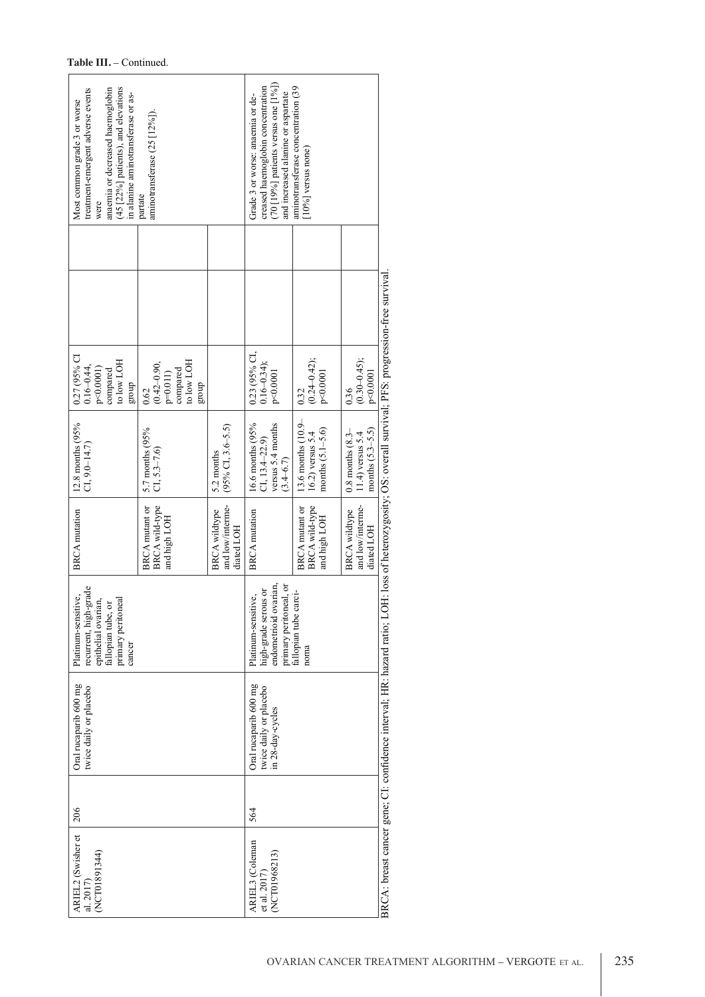| (45 [22%] patients), and elevations<br>treatment-emergent adverse events<br>anaemia or decreased haemoglobin<br>in alanine aminotransferase or as-<br>Most common grade 3 or worse<br>were | aminotransferase (25 [12%]).<br>partate                          |                                                        | $(70 [19\%]$ patients versus one $[1\%]$<br>creased haemoglobin concentration<br>and increased alanine or aspartate<br>Grade 3 or worse: anaemia or de- | aminotransferase concentration (39<br>$[10\%]$ versus none)        |                                                                        |                                                                                  |
|--------------------------------------------------------------------------------------------------------------------------------------------------------------------------------------------|------------------------------------------------------------------|--------------------------------------------------------|---------------------------------------------------------------------------------------------------------------------------------------------------------|--------------------------------------------------------------------|------------------------------------------------------------------------|----------------------------------------------------------------------------------|
| 0.27 (95% CI<br>to low LOH<br>$0.16 - 0.44,$<br>$p<0.0001$ )<br>compared<br>group                                                                                                          | to low LOH<br>$(0.42 - 0.90,$<br>compared<br>$p=0.011$<br>dno.fa |                                                        | $0.23$ (95% CI, $0.16 - 0.34$ );<br>p<0.0001                                                                                                            | $(0.24 - 0.42);$<br>p<0.0001                                       | $(0.30 - 0.45);$<br>p<0.0001                                           | OH: loss of heterozygosity; OS: overall survival; PFS: progression-free survival |
| 12.8 months (95%<br>$CI, 9.0 - 14.7$                                                                                                                                                       | 0.62<br>5.7 months (95%<br>$CI, 5.3 - 7.6$                       | $(95\%$ CI, 3.6–5.5)<br>5.2 months                     | 16.6 months (95%<br>versus 5.4 months<br>$CI, 13.4 - 22.9$<br>$(3.4 - 6.7)$                                                                             | 0.32<br>13.6 months $(10.9-16.2)$ versus 5.4<br>months $(5.1-5.6)$ | 0.36<br>months $(5.3-5.5)$<br>$0.8$ months $(8.3-$<br>11.4) versus 5.4 |                                                                                  |
| <b>BRCA</b> mutation                                                                                                                                                                       | BRCA wild-type<br>BRCA mutant or<br>and high LOH                 | and low/interme-<br><b>BRCA</b> wildtype<br>diated LOH | <b>BRCA</b> mutation                                                                                                                                    | BRCA wild-type<br>BRCA mutant or<br>and high LOH                   | and low/interme-<br><b>BRCA</b> wildtype<br>diated LOH                 |                                                                                  |
| recurrent, high-grade<br>Platinum-sensitive,<br>iai<br>or<br>primary peritoneal<br>epithelial ovari<br>fallopian tube,<br>cancer                                                           |                                                                  |                                                        | endometrioid ovarian,<br>primary peritoneal, or<br>high-grade serous or<br>Platinum-sensitive,                                                          | fallopian tube carci-<br>noma                                      |                                                                        |                                                                                  |
| Oral rucaparib 600 mg<br>twice daily or placebo                                                                                                                                            |                                                                  |                                                        | Oral rucaparib 600 mg<br>twice daily or placebo<br>in 28-day-cycles                                                                                     |                                                                    |                                                                        | BRCA: breast cancer gene; CI: confidence interval; HR: hazard ratio; L(          |
| 206                                                                                                                                                                                        |                                                                  |                                                        | 564                                                                                                                                                     |                                                                    |                                                                        |                                                                                  |
| ARIEL2 (Swisher et al. 2017)<br>(NCT01891344)                                                                                                                                              |                                                                  |                                                        | ARIEL3 (Coleman<br>(NCT01968213)<br>et al. $2017$                                                                                                       |                                                                    |                                                                        |                                                                                  |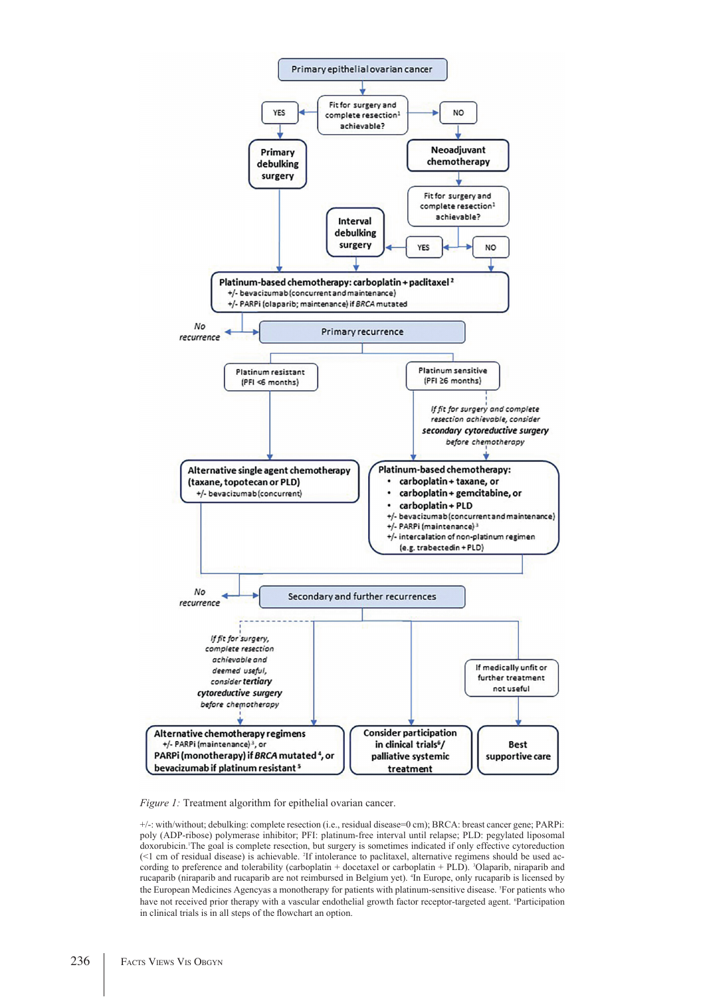

*Figure 1:* Treatment algorithm for epithelial ovarian cancer.

+/-: with/without; debulking: complete resection (i.e., residual disease=0 cm); BRCA: breast cancer gene; PARPi: poly (ADP-ribose) polymerase inhibitor; PFI: platinum-free interval until relapse; PLD: pegylated liposomal doxorubicin. The goal is complete resection, but surgery is sometimes indicated if only effective cytoreduction (<1 cm of residual disease) is achievable. 2 If intolerance to paclitaxel, alternative regimens should be used according to preference and tolerability (carboplatin + docetaxel or carboplatin + PLD). <sup>3</sup>Olaparib, niraparib and rucaparib (niraparib and rucaparib are not reimbursed in Belgium yet). 4 In Europe, only rucaparib is licensed by the European Medicines Agencyas a monotherapy for patients with platinum-sensitive disease. 5 For patients who have not received prior therapy with a vascular endothelial growth factor receptor-targeted agent. <sup>6</sup>Participation in clinical trials is in all steps of the flowchart an option.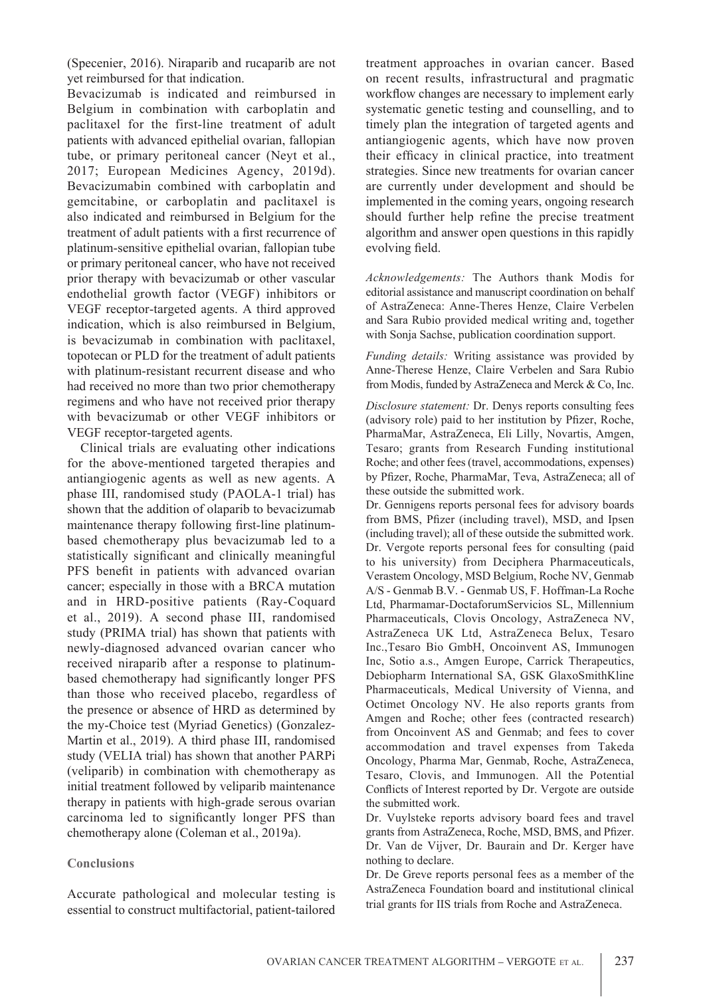(Specenier, 2016). Niraparib and rucaparib are not yet reimbursed for that indication.

Bevacizumab is indicated and reimbursed in Belgium in combination with carboplatin and paclitaxel for the first-line treatment of adult patients with advanced epithelial ovarian, fallopian tube, or primary peritoneal cancer (Neyt et al., 2017; European Medicines Agency, 2019d). Bevacizumabin combined with carboplatin and gemcitabine, or carboplatin and paclitaxel is also indicated and reimbursed in Belgium for the treatment of adult patients with a first recurrence of platinum-sensitive epithelial ovarian, fallopian tube or primary peritoneal cancer, who have not received prior therapy with bevacizumab or other vascular endothelial growth factor (VEGF) inhibitors or VEGF receptor-targeted agents. A third approved indication, which is also reimbursed in Belgium, is bevacizumab in combination with paclitaxel, topotecan or PLD for the treatment of adult patients with platinum-resistant recurrent disease and who had received no more than two prior chemotherapy regimens and who have not received prior therapy with bevacizumab or other VEGF inhibitors or VEGF receptor-targeted agents.

Clinical trials are evaluating other indications for the above-mentioned targeted therapies and antiangiogenic agents as well as new agents. A phase III, randomised study (PAOLA-1 trial) has shown that the addition of olaparib to bevacizumab maintenance therapy following first-line platinumbased chemotherapy plus bevacizumab led to a statistically significant and clinically meaningful PFS benefit in patients with advanced ovarian cancer; especially in those with a BRCA mutation and in HRD-positive patients (Ray-Coquard et al., 2019). A second phase III, randomised study (PRIMA trial) has shown that patients with newly-diagnosed advanced ovarian cancer who received niraparib after a response to platinumbased chemotherapy had significantly longer PFS than those who received placebo, regardless of the presence or absence of HRD as determined by the my-Choice test (Myriad Genetics) (Gonzalez-Martin et al., 2019). A third phase III, randomised study (VELIA trial) has shown that another PARPi (veliparib) in combination with chemotherapy as initial treatment followed by veliparib maintenance therapy in patients with high-grade serous ovarian carcinoma led to significantly longer PFS than chemotherapy alone (Coleman et al., 2019a).

#### **Conclusions**

Accurate pathological and molecular testing is essential to construct multifactorial, patient-tailored treatment approaches in ovarian cancer. Based on recent results, infrastructural and pragmatic workflow changes are necessary to implement early systematic genetic testing and counselling, and to timely plan the integration of targeted agents and antiangiogenic agents, which have now proven their efficacy in clinical practice, into treatment strategies. Since new treatments for ovarian cancer are currently under development and should be implemented in the coming years, ongoing research should further help refine the precise treatment algorithm and answer open questions in this rapidly evolving field.

*Acknowledgements:* The Authors thank Modis for editorial assistance and manuscript coordination on behalf of AstraZeneca: Anne-Theres Henze, Claire Verbelen and Sara Rubio provided medical writing and, together with Sonja Sachse, publication coordination support.

*Funding details:* Writing assistance was provided by Anne-Therese Henze, Claire Verbelen and Sara Rubio from Modis, funded by AstraZeneca and Merck & Co, Inc.

*Disclosure statement:* Dr. Denys reports consulting fees (advisory role) paid to her institution by Pfizer, Roche, PharmaMar, AstraZeneca, Eli Lilly, Novartis, Amgen, Tesaro; grants from Research Funding institutional Roche; and other fees (travel, accommodations, expenses) by Pfizer, Roche, PharmaMar, Teva, AstraZeneca; all of these outside the submitted work.

Dr. Gennigens reports personal fees for advisory boards from BMS, Pfizer (including travel), MSD, and Ipsen (including travel); all of these outside the submitted work. Dr. Vergote reports personal fees for consulting (paid to his university) from Deciphera Pharmaceuticals, Verastem Oncology, MSD Belgium, Roche NV, Genmab A/S - Genmab B.V. - Genmab US, F. Hoffman-La Roche Ltd, Pharmamar-DoctaforumServicios SL, Millennium Pharmaceuticals, Clovis Oncology, AstraZeneca NV, AstraZeneca UK Ltd, AstraZeneca Belux, Tesaro Inc.,Tesaro Bio GmbH, Oncoinvent AS, Immunogen Inc, Sotio a.s., Amgen Europe, Carrick Therapeutics, Debiopharm International SA, GSK GlaxoSmithKline Pharmaceuticals, Medical University of Vienna, and Octimet Oncology NV. He also reports grants from Amgen and Roche; other fees (contracted research) from Oncoinvent AS and Genmab; and fees to cover accommodation and travel expenses from Takeda Oncology, Pharma Mar, Genmab, Roche, AstraZeneca, Tesaro, Clovis, and Immunogen. All the Potential Conflicts of Interest reported by Dr. Vergote are outside the submitted work.

Dr. Vuylsteke reports advisory board fees and travel grants from AstraZeneca, Roche, MSD, BMS, and Pfizer. Dr. Van de Vijver, Dr. Baurain and Dr. Kerger have nothing to declare.

Dr. De Greve reports personal fees as a member of the AstraZeneca Foundation board and institutional clinical trial grants for IIS trials from Roche and AstraZeneca.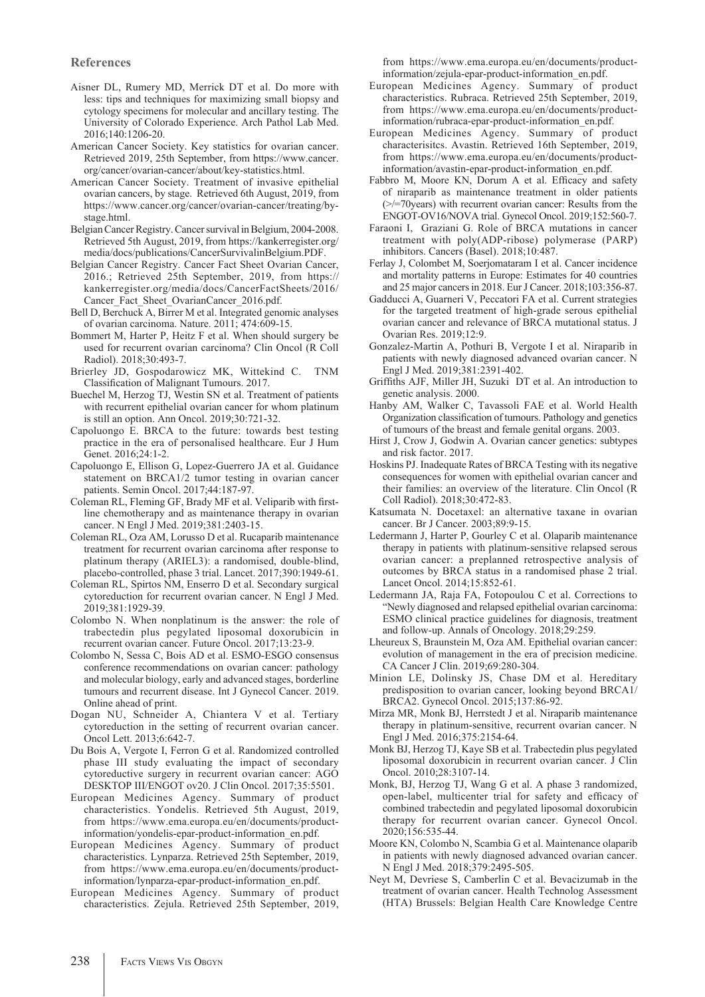#### **References**

- Aisner DL, Rumery MD, Merrick DT et al. Do more with less: tips and techniques for maximizing small biopsy and cytology specimens for molecular and ancillary testing. The University of Colorado Experience. Arch Pathol Lab Med. 2016;140:1206-20.
- American Cancer Society. Key statistics for ovarian cancer. Retrieved 2019, 25th September, from https://www.cancer. org/cancer/ovarian-cancer/about/key-statistics.html.
- American Cancer Society. Treatment of invasive epithelial ovarian cancers, by stage. Retrieved 6th August, 2019, from https://www.cancer.org/cancer/ovarian-cancer/treating/bystage.html.
- Belgian Cancer Registry. Cancer survival in Belgium, 2004-2008. Retrieved 5th August, 2019, from https://kankerregister.org/ media/docs/publications/CancerSurvivalinBelgium.PDF.
- Belgian Cancer Registry. Cancer Fact Sheet Ovarian Cancer, 2016.; Retrieved 25th September, 2019, from https:// kankerregister.org/media/docs/CancerFactSheets/2016/ Cancer Fact Sheet OvarianCancer 2016.pdf.
- Bell D, Berchuck A, Birrer M et al. Integrated genomic analyses of ovarian carcinoma. Nature. 2011; 474:609-15.
- Bommert M, Harter P, Heitz F et al. When should surgery be used for recurrent ovarian carcinoma? Clin Oncol (R Coll Radiol). 2018;30:493-7.
- Brierley JD, Gospodarowicz MK, Wittekind C. TNM Classification of Malignant Tumours. 2017.
- Buechel M, Herzog TJ, Westin SN et al. Treatment of patients with recurrent epithelial ovarian cancer for whom platinum is still an option. Ann Oncol. 2019;30:721-32.
- Capoluongo E. BRCA to the future: towards best testing practice in the era of personalised healthcare. Eur J Hum Genet. 2016;24:1-2.
- Capoluongo E, Ellison G, Lopez-Guerrero JA et al. Guidance statement on BRCA1/2 tumor testing in ovarian cancer patients. Semin Oncol. 2017;44:187-97.
- Coleman RL, Fleming GF, Brady MF et al. Veliparib with firstline chemotherapy and as maintenance therapy in ovarian cancer. N Engl J Med. 2019;381:2403-15.
- Coleman RL, Oza AM, Lorusso D et al. Rucaparib maintenance treatment for recurrent ovarian carcinoma after response to platinum therapy (ARIEL3): a randomised, double-blind, placebo-controlled, phase 3 trial. Lancet. 2017;390:1949-61.
- Coleman RL, Spirtos NM, Enserro D et al. Secondary surgical cytoreduction for recurrent ovarian cancer. N Engl J Med. 2019;381:1929-39.
- Colombo N. When nonplatinum is the answer: the role of trabectedin plus pegylated liposomal doxorubicin in recurrent ovarian cancer. Future Oncol. 2017;13:23-9.
- Colombo N, Sessa C, Bois AD et al. ESMO-ESGO consensus conference recommendations on ovarian cancer: pathology and molecular biology, early and advanced stages, borderline tumours and recurrent disease. Int J Gynecol Cancer. 2019. Online ahead of print.
- Dogan NU, Schneider A, Chiantera V et al. Tertiary cytoreduction in the setting of recurrent ovarian cancer. Oncol Lett. 2013;6:642-7.
- Du Bois A, Vergote I, Ferron G et al. Randomized controlled phase III study evaluating the impact of secondary cytoreductive surgery in recurrent ovarian cancer: AGO DESKTOP III/ENGOT ov20. J Clin Oncol. 2017;35:5501.
- European Medicines Agency. Summary of product characteristics. Yondelis. Retrieved 5th August, 2019, from https://www.ema.europa.eu/en/documents/productinformation/yondelis-epar-product-information\_en.pdf.
- European Medicines Agency. Summary of product characteristics. Lynparza. Retrieved 25th September, 2019, from https://www.ema.europa.eu/en/documents/productinformation/lynparza-epar-product-information\_en.pdf.
- European Medicines Agency. Summary of product characteristics. Zejula. Retrieved 25th September, 2019,

from https://www.ema.europa.eu/en/documents/productinformation/zejula-epar-product-information\_en.pdf.

- European Medicines Agency. Summary of product characteristics. Rubraca. Retrieved 25th September, 2019, from https://www.ema.europa.eu/en/documents/productinformation/rubraca-epar-product-information\_en.pdf.
- European Medicines Agency. Summary of product characterisitcs. Avastin. Retrieved 16th September, 2019, from https://www.ema.europa.eu/en/documents/productinformation/avastin-epar-product-information\_en.pdf.
- Fabbro M, Moore KN, Dorum A et al. Efficacy and safety of niraparib as maintenance treatment in older patients (>/=70years) with recurrent ovarian cancer: Results from the ENGOT-OV16/NOVA trial. Gynecol Oncol. 2019;152:560-7.
- Faraoni I, Graziani G. Role of BRCA mutations in cancer treatment with poly(ADP-ribose) polymerase (PARP) inhibitors. Cancers (Basel). 2018;10:487.
- Ferlay J, Colombet M, Soerjomataram I et al. Cancer incidence and mortality patterns in Europe: Estimates for 40 countries and 25 major cancers in 2018. Eur J Cancer. 2018;103:356-87.
- Gadducci A, Guarneri V, Peccatori FA et al. Current strategies for the targeted treatment of high-grade serous epithelial ovarian cancer and relevance of BRCA mutational status. J Ovarian Res. 2019;12:9.
- Gonzalez-Martin A, Pothuri B, Vergote I et al. Niraparib in patients with newly diagnosed advanced ovarian cancer. N Engl J Med. 2019;381:2391-402.
- Griffiths AJF, Miller JH, Suzuki DT et al. An introduction to genetic analysis. 2000.
- Hanby AM, Walker C, Tavassoli FAE et al. World Health Organization classification of tumours. Pathology and genetics of tumours of the breast and female genital organs. 2003.
- Hirst J, Crow J, Godwin A. Ovarian cancer genetics: subtypes and risk factor. 2017.
- Hoskins PJ. Inadequate Rates of BRCA Testing with its negative consequences for women with epithelial ovarian cancer and their families: an overview of the literature. Clin Oncol (R Coll Radiol). 2018;30:472-83.
- Katsumata N. Docetaxel: an alternative taxane in ovarian cancer. Br J Cancer. 2003;89:9-15.
- Ledermann J, Harter P, Gourley C et al. Olaparib maintenance therapy in patients with platinum-sensitive relapsed serous ovarian cancer: a preplanned retrospective analysis of outcomes by BRCA status in a randomised phase 2 trial. Lancet Oncol. 2014;15:852-61.
- Ledermann JA, Raja FA, Fotopoulou C et al. Corrections to "Newly diagnosed and relapsed epithelial ovarian carcinoma: ESMO clinical practice guidelines for diagnosis, treatment and follow-up. Annals of Oncology. 2018;29:259.
- Lheureux S, Braunstein M, Oza AM. Epithelial ovarian cancer: evolution of management in the era of precision medicine. CA Cancer J Clin. 2019;69:280-304.
- Minion LE, Dolinsky JS, Chase DM et al. Hereditary predisposition to ovarian cancer, looking beyond BRCA1/ BRCA2. Gynecol Oncol. 2015;137:86-92.
- Mirza MR, Monk BJ, Herrstedt J et al. Niraparib maintenance therapy in platinum-sensitive, recurrent ovarian cancer. N Engl J Med. 2016;375:2154-64.
- Monk BJ, Herzog TJ, Kaye SB et al. Trabectedin plus pegylated liposomal doxorubicin in recurrent ovarian cancer. J Clin Oncol. 2010;28:3107-14.
- Monk, BJ, Herzog TJ, Wang G et al. A phase 3 randomized, open-label, multicenter trial for safety and efficacy of combined trabectedin and pegylated liposomal doxorubicin therapy for recurrent ovarian cancer. Gynecol Oncol. 2020;156:535-44.
- Moore KN, Colombo N, Scambia G et al. Maintenance olaparib in patients with newly diagnosed advanced ovarian cancer. N Engl J Med. 2018;379:2495-505.
- Neyt M, Devriese S, Camberlin C et al. Bevacizumab in the treatment of ovarian cancer. Health Technolog Assessment (HTA) Brussels: Belgian Health Care Knowledge Centre